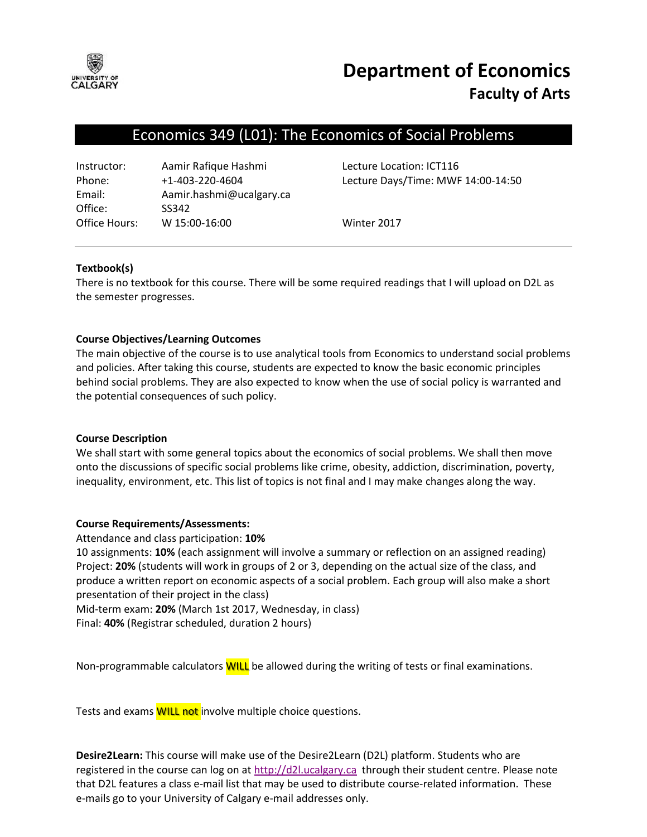

# **Department of Economics Faculty of Arts**

# Economics 349 (L01): The Economics of Social Problems

| Instructor:   | Aamir Rafique Hashmi     |
|---------------|--------------------------|
| Phone:        | $+1 - 403 - 220 - 4604$  |
| Email:        | Aamir.hashmi@ucalgary.ca |
| Office:       | SS342                    |
| Office Hours: | W 15:00-16:00            |

Lecture Location: ICT116 Lecture Days/Time: MWF 14:00-14:50

Winter 2017

#### **Textbook(s)**

There is no textbook for this course. There will be some required readings that I will upload on D2L as the semester progresses.

## **Course Objectives/Learning Outcomes**

The main objective of the course is to use analytical tools from Economics to understand social problems and policies. After taking this course, students are expected to know the basic economic principles behind social problems. They are also expected to know when the use of social policy is warranted and the potential consequences of such policy.

#### **Course Description**

We shall start with some general topics about the economics of social problems. We shall then move onto the discussions of specific social problems like crime, obesity, addiction, discrimination, poverty, inequality, environment, etc. This list of topics is not final and I may make changes along the way.

#### **Course Requirements/Assessments:**

Attendance and class participation: **10%**

10 assignments: **10%** (each assignment will involve a summary or reflection on an assigned reading) Project: **20%** (students will work in groups of 2 or 3, depending on the actual size of the class, and produce a written report on economic aspects of a social problem. Each group will also make a short presentation of their project in the class)

Mid-term exam: **20%** (March 1st 2017, Wednesday, in class) Final: **40%** (Registrar scheduled, duration 2 hours)

Non-programmable calculators **WILL** be allowed during the writing of tests or final examinations.

Tests and exams **WILL not** involve multiple choice questions.

**Desire2Learn:** This course will make use of the Desire2Learn (D2L) platform. Students who are registered in the course can log on at  $\frac{http://d2l.ucalgary.ca}{http://d2l.ucalgary.ca}$  through their student centre. Please note that D2L features a class e-mail list that may be used to distribute course-related information. These e-mails go to your University of Calgary e-mail addresses only.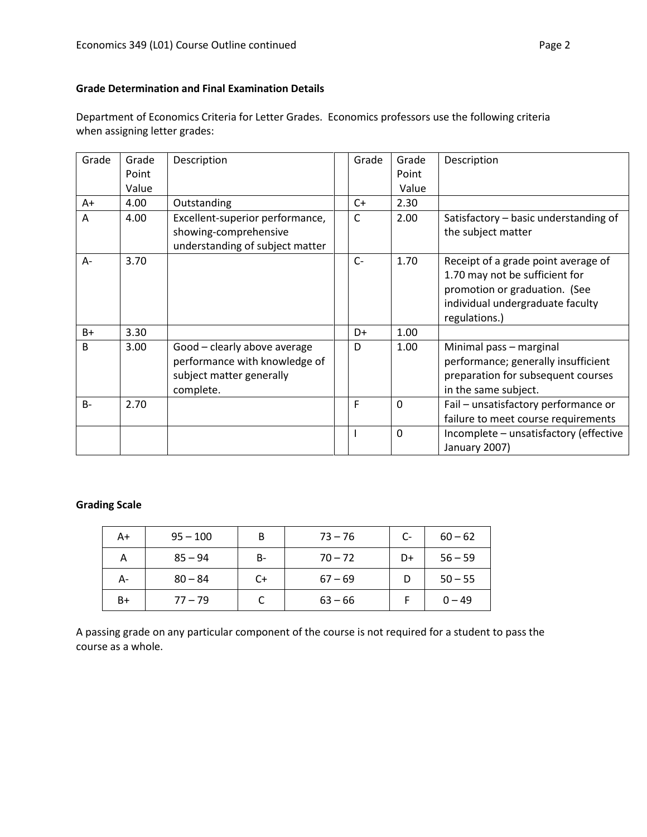## **Grade Determination and Final Examination Details**

Department of Economics Criteria for Letter Grades. Economics professors use the following criteria when assigning letter grades:

| Grade        | Grade | Description                                                                                            | Grade | Grade       | Description                                                                                                                                                 |
|--------------|-------|--------------------------------------------------------------------------------------------------------|-------|-------------|-------------------------------------------------------------------------------------------------------------------------------------------------------------|
|              | Point |                                                                                                        |       | Point       |                                                                                                                                                             |
|              | Value |                                                                                                        |       | Value       |                                                                                                                                                             |
| A+           | 4.00  | Outstanding                                                                                            | $C+$  | 2.30        |                                                                                                                                                             |
| A            | 4.00  | Excellent-superior performance,<br>showing-comprehensive<br>understanding of subject matter            | C     | 2.00        | Satisfactory - basic understanding of<br>the subject matter                                                                                                 |
| A-           | 3.70  |                                                                                                        | $C-$  | 1.70        | Receipt of a grade point average of<br>1.70 may not be sufficient for<br>promotion or graduation. (See<br>individual undergraduate faculty<br>regulations.) |
| $B+$         | 3.30  |                                                                                                        | D+    | 1.00        |                                                                                                                                                             |
| <sub>B</sub> | 3.00  | Good - clearly above average<br>performance with knowledge of<br>subject matter generally<br>complete. | D     | 1.00        | Minimal pass - marginal<br>performance; generally insufficient<br>preparation for subsequent courses<br>in the same subject.                                |
| $B -$        | 2.70  |                                                                                                        | F     | $\mathbf 0$ | Fail - unsatisfactory performance or<br>failure to meet course requirements                                                                                 |
|              |       |                                                                                                        |       | $\Omega$    | Incomplete - unsatisfactory (effective<br>January 2007)                                                                                                     |

#### **Grading Scale**

| A+   | $95 - 100$ | B  | $73 - 76$ | C- | $60 - 62$ |
|------|------------|----|-----------|----|-----------|
| А    | $85 - 94$  | B- | $70 - 72$ | D+ | $56 - 59$ |
| А-   | $80 - 84$  | C+ | $67 - 69$ |    | $50 - 55$ |
| $B+$ | $77 - 79$  |    | $63 - 66$ |    | $0 - 49$  |

A passing grade on any particular component of the course is not required for a student to pass the course as a whole.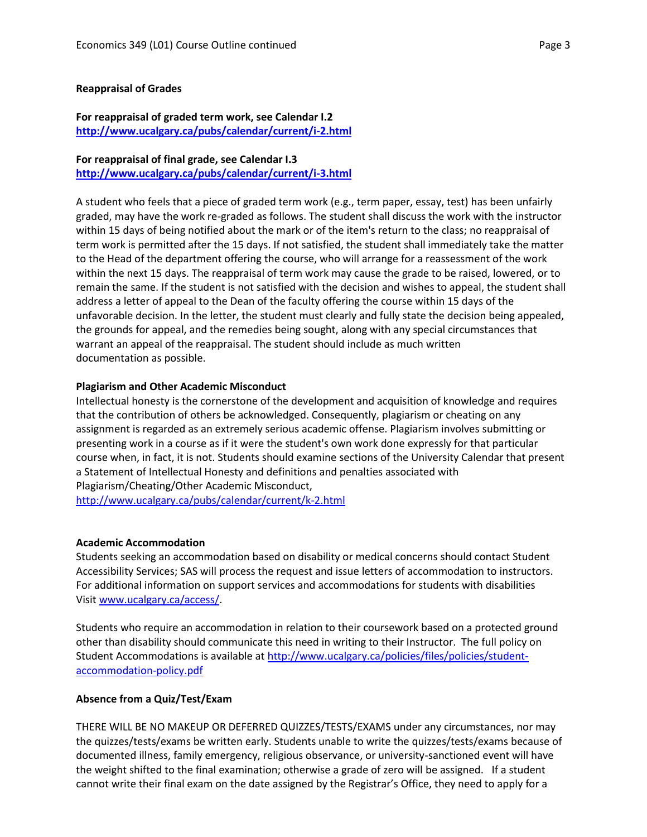#### **Reappraisal of Grades**

#### **For reappraisal of graded term work, see Calendar I.2 <http://www.ucalgary.ca/pubs/calendar/current/i-2.html>**

# **For reappraisal of final grade, see Calendar I.3**

**<http://www.ucalgary.ca/pubs/calendar/current/i-3.html>**

A student who feels that a piece of graded term work (e.g., term paper, essay, test) has been unfairly graded, may have the work re-graded as follows. The student shall discuss the work with the instructor within 15 days of being notified about the mark or of the item's return to the class; no reappraisal of term work is permitted after the 15 days. If not satisfied, the student shall immediately take the matter to the Head of the department offering the course, who will arrange for a reassessment of the work within the next 15 days. The reappraisal of term work may cause the grade to be raised, lowered, or to remain the same. If the student is not satisfied with the decision and wishes to appeal, the student shall address a letter of appeal to the Dean of the faculty offering the course within 15 days of the unfavorable decision. In the letter, the student must clearly and fully state the decision being appealed, the grounds for appeal, and the remedies being sought, along with any special circumstances that warrant an appeal of the reappraisal. The student should include as much written documentation as possible.

#### **Plagiarism and Other Academic Misconduct**

Intellectual honesty is the cornerstone of the development and acquisition of knowledge and requires that the contribution of others be acknowledged. Consequently, plagiarism or cheating on any assignment is regarded as an extremely serious academic offense. Plagiarism involves submitting or presenting work in a course as if it were the student's own work done expressly for that particular course when, in fact, it is not. Students should examine sections of the University Calendar that present a Statement of Intellectual Honesty and definitions and penalties associated with Plagiarism/Cheating/Other Academic Misconduct,

<http://www.ucalgary.ca/pubs/calendar/current/k-2.html>

#### **Academic Accommodation**

Students seeking an accommodation based on disability or medical concerns should contact Student Accessibility Services; SAS will process the request and issue letters of accommodation to instructors. For additional information on support services and accommodations for students with disabilities Visit [www.ucalgary.ca/access/.](http://www.ucalgary.ca/access/)

Students who require an accommodation in relation to their coursework based on a protected ground other than disability should communicate this need in writing to their Instructor. The full policy on Student Accommodations is available at [http://www.ucalgary.ca/policies/files/policies/student](http://www.ucalgary.ca/policies/files/policies/student-accommodation-policy.pdf)[accommodation-policy.pdf](http://www.ucalgary.ca/policies/files/policies/student-accommodation-policy.pdf)

#### **Absence from a Quiz/Test/Exam**

THERE WILL BE NO MAKEUP OR DEFERRED QUIZZES/TESTS/EXAMS under any circumstances, nor may the quizzes/tests/exams be written early. Students unable to write the quizzes/tests/exams because of documented illness, family emergency, religious observance, or university-sanctioned event will have the weight shifted to the final examination; otherwise a grade of zero will be assigned. If a student cannot write their final exam on the date assigned by the Registrar's Office, they need to apply for a